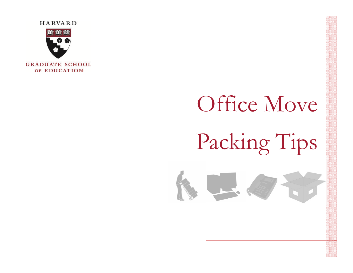

# Office Move Packing Tips

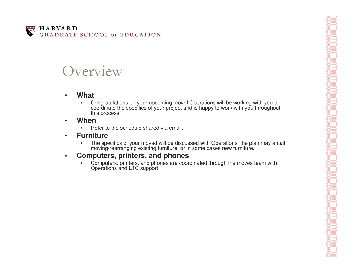

#### verview

#### •**What**

• Congratulations on your upcoming move! Operations will be working with you to coordinate the specifics of your project and is happy to work with you throughout this process.

#### •**When**

- •Refer to the schedule shared via email.
- • **Furniture**
	- •The specifics of your moved will be discussed with Operations, the plan may entail moving/rearranging existing furniture, or in some cases new furniture.

#### •**Computers, printers, and phones**

•Computers, printers, and phones are coordinated through the moves team with Operations and LTC support.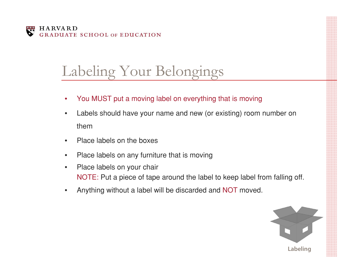

# Labeling Your Belongings

- •You MUST put a moving label on everything that is moving
- • Labels should have your name and new (or existing) room number on them
- •Place labels on the boxes
- •Place labels on any furniture that is moving
- $\bullet$  Place labels on your chair NOTE: Put a piece of tape around the label to keep label from falling off.
- •Anything without a label will be discarded and NOT moved.

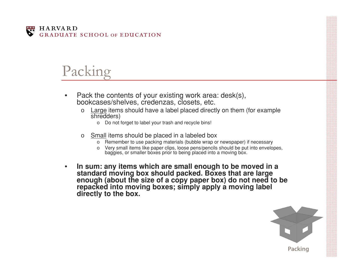

### Packing

- • Pack the contents of your existing work area: desk(s), bookcases/shelves, credenzas, closets, etc.
	- o Large items should have a label placed directly on them (for example shredders)
		- o Do not forget to label your trash and recycle bins!
	- o Small items should be placed in a labeled box
		- o Remember to use packing materials (bubble wrap or newspaper) if necessary
		- o Very small items like paper clips, loose pens/pencils should be put into envelopes, baggies, or smaller boxes prior to being placed into a moving box.
- •In sum: any items which are small enough to be moved in a<br>standard moving box should packed. Boxes that are large<br>enough (about the size of a copy paper box) do not need to be<br>repacked into moving boxes; simply apply a mov

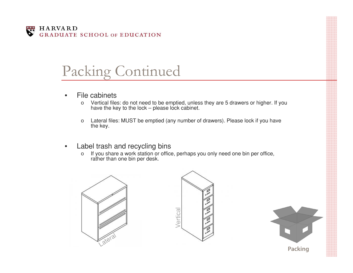

#### Packing Continued

- • File cabinets
	- o Vertical files: do not need to be emptied, unless they are 5 drawers or higher. If you have the key to the lock – please lock cabinet.
	- o Lateral files: MUST be emptied (any number of drawers). Please lock if you have the key.
- • Label trash and recycling bins
	- o $\circ$  If you share a work station or office, perhaps you only need one bin per office, rather than one bin per desk.



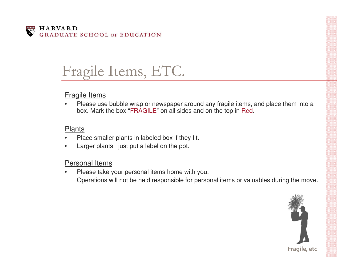

# Fragile Items, ETC.

#### Fragile Items

• Please use bubble wrap or newspaper around any fragile items, and place them into a box. Mark the box "FRAGILE" on all sides and on the top in Red.

#### Plants

- •Place smaller plants in labeled box if they fit.
- •Larger plants, just put a label on the pot.

#### Personal Items

• Please take your personal items home with you. Operations will not be held responsible for personal items or valuables during the move.

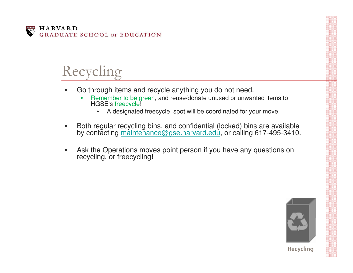

# Recycling

- • Go through items and recycle anything you do not need.
	- • Remember to be green, and reuse/donate unused or unwanted items to HGSE's freecycle!
		- $\bullet$ A designated freecycle spot will be coordinated for your move.
- •Both regular recycling bins, and confidential (locked) bins are available by contacting maintenance@gse.harvard.edu, or calling 617−495−3410.
- •Ask the Operations moves point person if you have any questions on recycling, or freecycling!



**Recycling**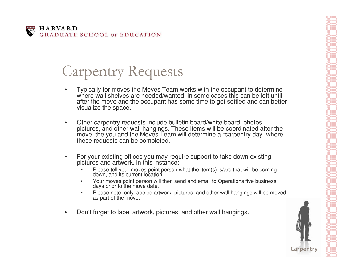

### Carpentry Requests

- • Typically for moves the Moves Team works with the occupant to determine where wall shelves are needed/wanted, in some cases this can be left until after the move and the occupant has some time to get settled and can better visualize the space.
- • Other carpentry requests include bulletin board/white board, photos, pictures, and other wall hangings. These items will be coordinated after the move, the you and the Moves Team will determine a "carpentry day" where these requests can be completed.
- • For your existing offices you may require support to take down existing pictures and artwork, in this instance:
	- •Please tell your moves point person what the item(s) is/are that will be coming down, and its current location.
	- • Your moves point person will then send and email to Operations five business days prior to the move date.
	- •Please note: only labeled artwork, pictures, and other wall hangings will be moved as part of the move.
- •Don't forget to label artwork, pictures, and other wall hangings.

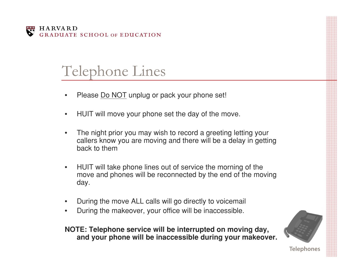

### Telephone Lines

- •Please Do NOT unplug or pack your phone set!
- •HUIT will move your phone set the day of the move.
- • The night prior you may wish to record a greeting letting your callers know you are moving and there will be a delay in getting back to them
- $\bullet$  HUIT will take phone lines out of service the morning of the move and phones will be reconnected by the end of the moving day.
- •During the move ALL calls will go directly to voicemail
- •During the makeover, your office will be inaccessible.

#### **NOTE: Telephone service will be interrupted on moving day, and your phone will be inaccessible during your makeover.**



**Telephones**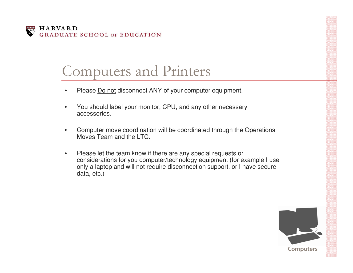

### Computers and Printers

- •Please Do not disconnect ANY of your computer equipment.
- $\bullet$  You should label your monitor, CPU, and any other necessary accessories.
- • Computer move coordination will be coordinated through the Operations Moves Team and the LTC.
- $\bullet$  Please let the team know if there are any special requests or considerations for you computer/technology equipment (for example I use only a laptop and will not require disconnection support, or I have secure data, etc.)

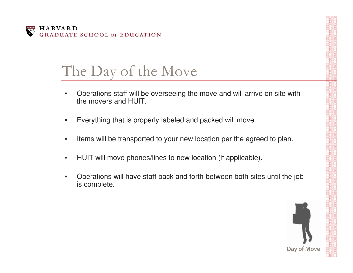

### The Day of the Move

- • Operations staff will be overseeing the move and will arrive on site with the movers and HUIT.
- •Everything that is properly labeled and packed will move.
- •Items will be transported to your new location per the agreed to plan.
- $\bullet$ HUIT will move phones/lines to new location (if applicable).
- • Operations will have staff back and forth between both sites until the job is complete.

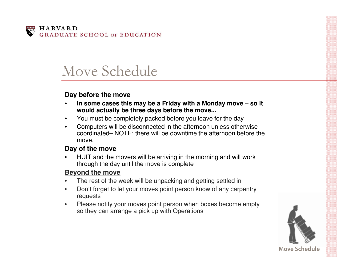

### Move Schedule

#### **Day before the move**

- •In some cases this may be a Friday with a Monday move – so it **would actually be three days before the move...**
- •You must be completely packed before you leave for the day
- $\bullet$  Computers will be disconnected in the afternoon unless otherwise coordinated– NOTE: there will be downtime the afternoon before the move.

#### **Day of the move**

• HUIT and the movers will be arriving in the morning and will work through the day until the move is complete

#### **Beyond the move**

- •The rest of the week will be unpacking and getting settled in
- • Don't forget to let your moves point person know of any carpentry requests
- • Please notify your moves point person when boxes become empty so they can arrange a pick up with Operations